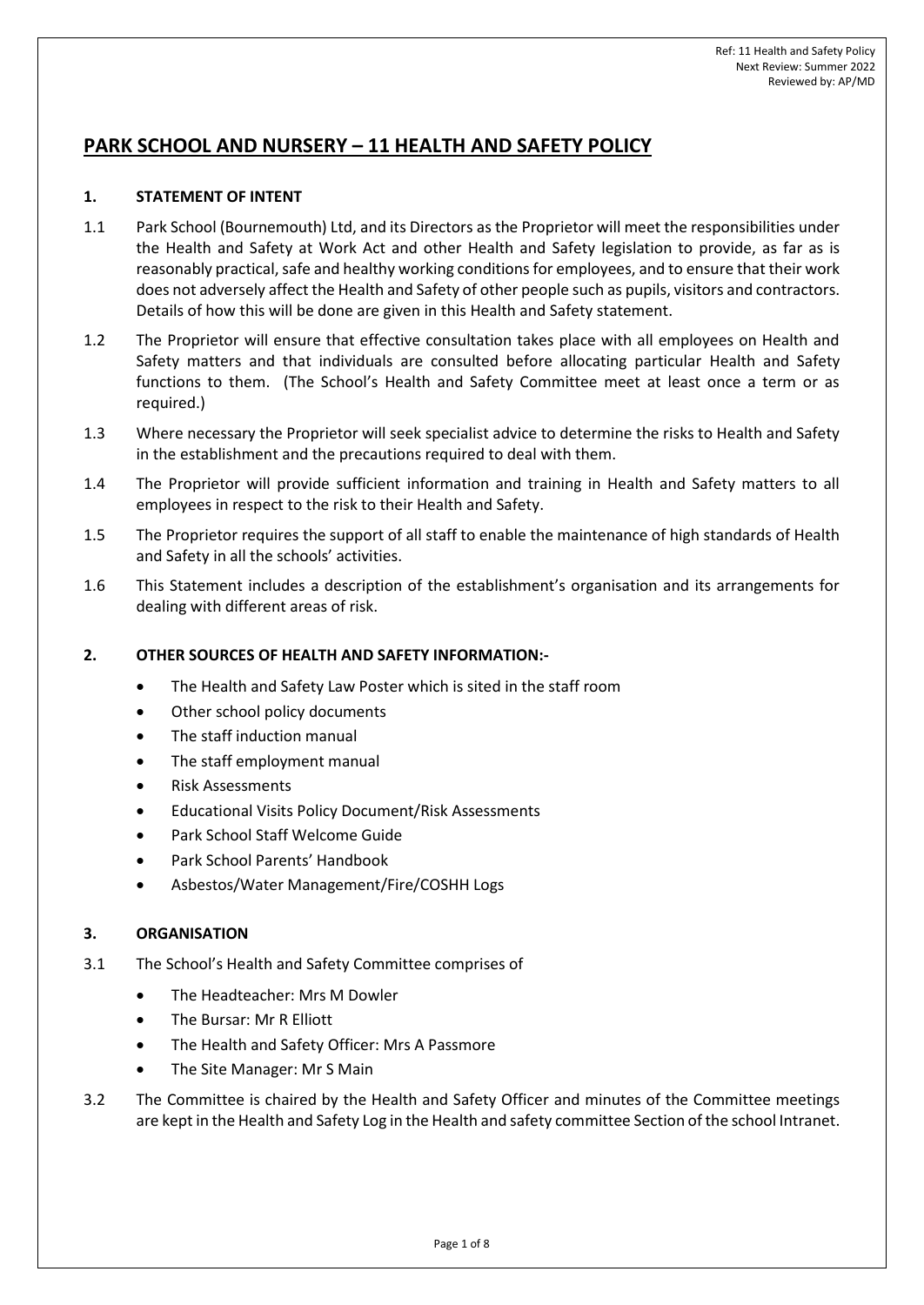# **PARK SCHOOL AND NURSERY – 11 HEALTH AND SAFETY POLICY**

# **1. STATEMENT OF INTENT**

- 1.1 Park School (Bournemouth) Ltd, and its Directors as the Proprietor will meet the responsibilities under the Health and Safety at Work Act and other Health and Safety legislation to provide, as far as is reasonably practical, safe and healthy working conditions for employees, and to ensure that their work does not adversely affect the Health and Safety of other people such as pupils, visitors and contractors. Details of how this will be done are given in this Health and Safety statement.
- 1.2 The Proprietor will ensure that effective consultation takes place with all employees on Health and Safety matters and that individuals are consulted before allocating particular Health and Safety functions to them. (The School's Health and Safety Committee meet at least once a term or as required.)
- 1.3 Where necessary the Proprietor will seek specialist advice to determine the risks to Health and Safety in the establishment and the precautions required to deal with them.
- 1.4 The Proprietor will provide sufficient information and training in Health and Safety matters to all employees in respect to the risk to their Health and Safety.
- 1.5 The Proprietor requires the support of all staff to enable the maintenance of high standards of Health and Safety in all the schools' activities.
- 1.6 This Statement includes a description of the establishment's organisation and its arrangements for dealing with different areas of risk.

# **2. OTHER SOURCES OF HEALTH AND SAFETY INFORMATION:-**

- The Health and Safety Law Poster which is sited in the staff room
- Other school policy documents
- The staff induction manual
- The staff employment manual
- Risk Assessments
- Educational Visits Policy Document/Risk Assessments
- Park School Staff Welcome Guide
- Park School Parents' Handbook
- Asbestos/Water Management/Fire/COSHH Logs

## **3. ORGANISATION**

- 3.1 The School's Health and Safety Committee comprises of
	- The Headteacher: Mrs M Dowler
	- The Bursar: Mr R Elliott
	- The Health and Safety Officer: Mrs A Passmore
	- The Site Manager: Mr S Main
- 3.2 The Committee is chaired by the Health and Safety Officer and minutes of the Committee meetings are kept in the Health and Safety Log in the Health and safety committee Section of the school Intranet.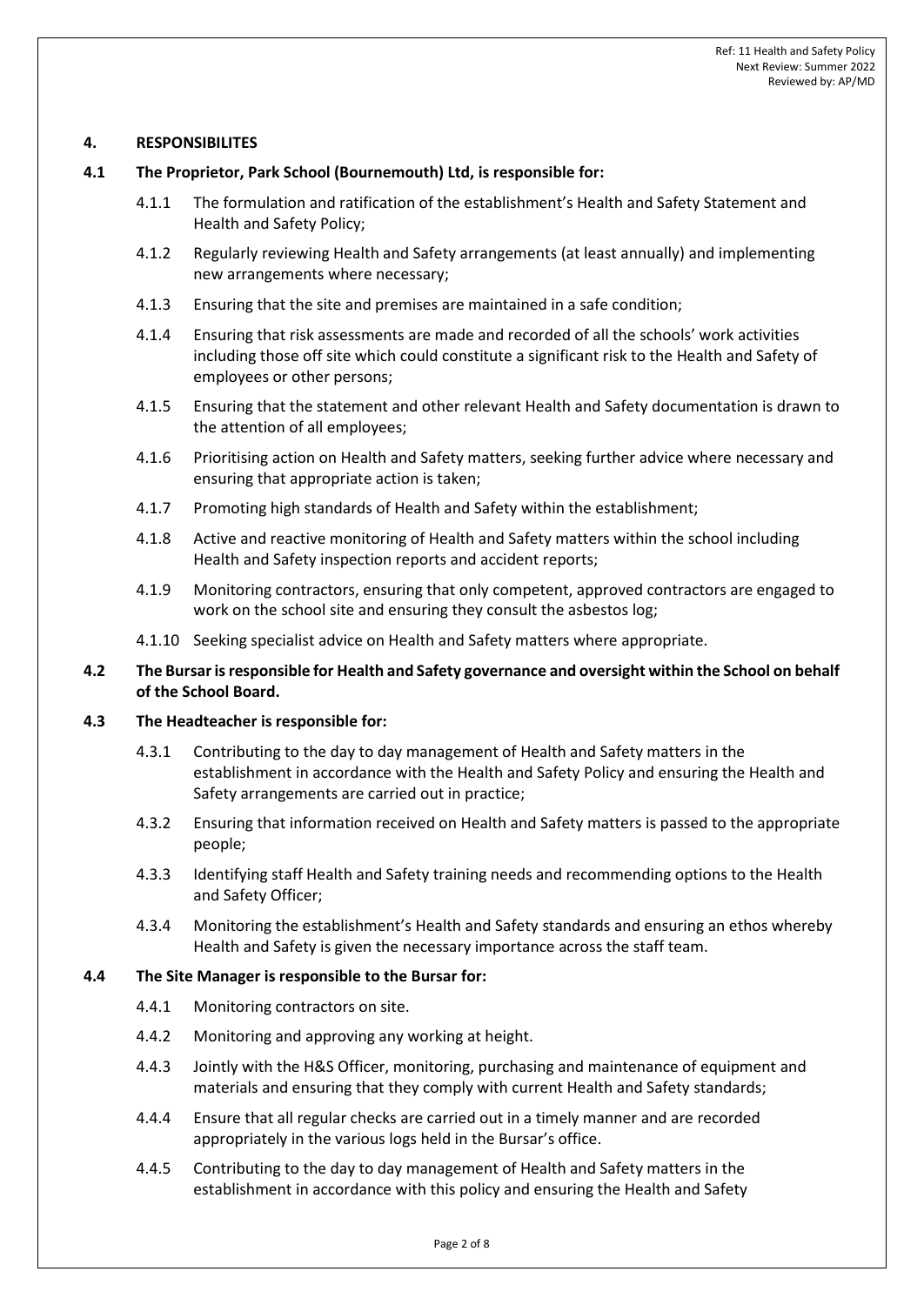## **4. RESPONSIBILITES**

#### **4.1 The Proprietor, Park School (Bournemouth) Ltd, is responsible for:**

- 4.1.1 The formulation and ratification of the establishment's Health and Safety Statement and Health and Safety Policy;
- 4.1.2 Regularly reviewing Health and Safety arrangements (at least annually) and implementing new arrangements where necessary;
- 4.1.3 Ensuring that the site and premises are maintained in a safe condition;
- 4.1.4 Ensuring that risk assessments are made and recorded of all the schools' work activities including those off site which could constitute a significant risk to the Health and Safety of employees or other persons;
- 4.1.5 Ensuring that the statement and other relevant Health and Safety documentation is drawn to the attention of all employees;
- 4.1.6 Prioritising action on Health and Safety matters, seeking further advice where necessary and ensuring that appropriate action is taken;
- 4.1.7 Promoting high standards of Health and Safety within the establishment;
- 4.1.8 Active and reactive monitoring of Health and Safety matters within the school including Health and Safety inspection reports and accident reports;
- 4.1.9 Monitoring contractors, ensuring that only competent, approved contractors are engaged to work on the school site and ensuring they consult the asbestos log;
- 4.1.10 Seeking specialist advice on Health and Safety matters where appropriate.

# **4.2 The Bursar is responsible for Health and Safety governance and oversight within the School on behalf of the School Board.**

#### **4.3 The Headteacher is responsible for:**

- 4.3.1 Contributing to the day to day management of Health and Safety matters in the establishment in accordance with the Health and Safety Policy and ensuring the Health and Safety arrangements are carried out in practice;
- 4.3.2 Ensuring that information received on Health and Safety matters is passed to the appropriate people;
- 4.3.3 Identifying staff Health and Safety training needs and recommending options to the Health and Safety Officer;
- 4.3.4 Monitoring the establishment's Health and Safety standards and ensuring an ethos whereby Health and Safety is given the necessary importance across the staff team.

#### **4.4 The Site Manager is responsible to the Bursar for:**

- 4.4.1 Monitoring contractors on site.
- 4.4.2 Monitoring and approving any working at height.
- 4.4.3 Jointly with the H&S Officer, monitoring, purchasing and maintenance of equipment and materials and ensuring that they comply with current Health and Safety standards;
- 4.4.4 Ensure that all regular checks are carried out in a timely manner and are recorded appropriately in the various logs held in the Bursar's office.
- 4.4.5 Contributing to the day to day management of Health and Safety matters in the establishment in accordance with this policy and ensuring the Health and Safety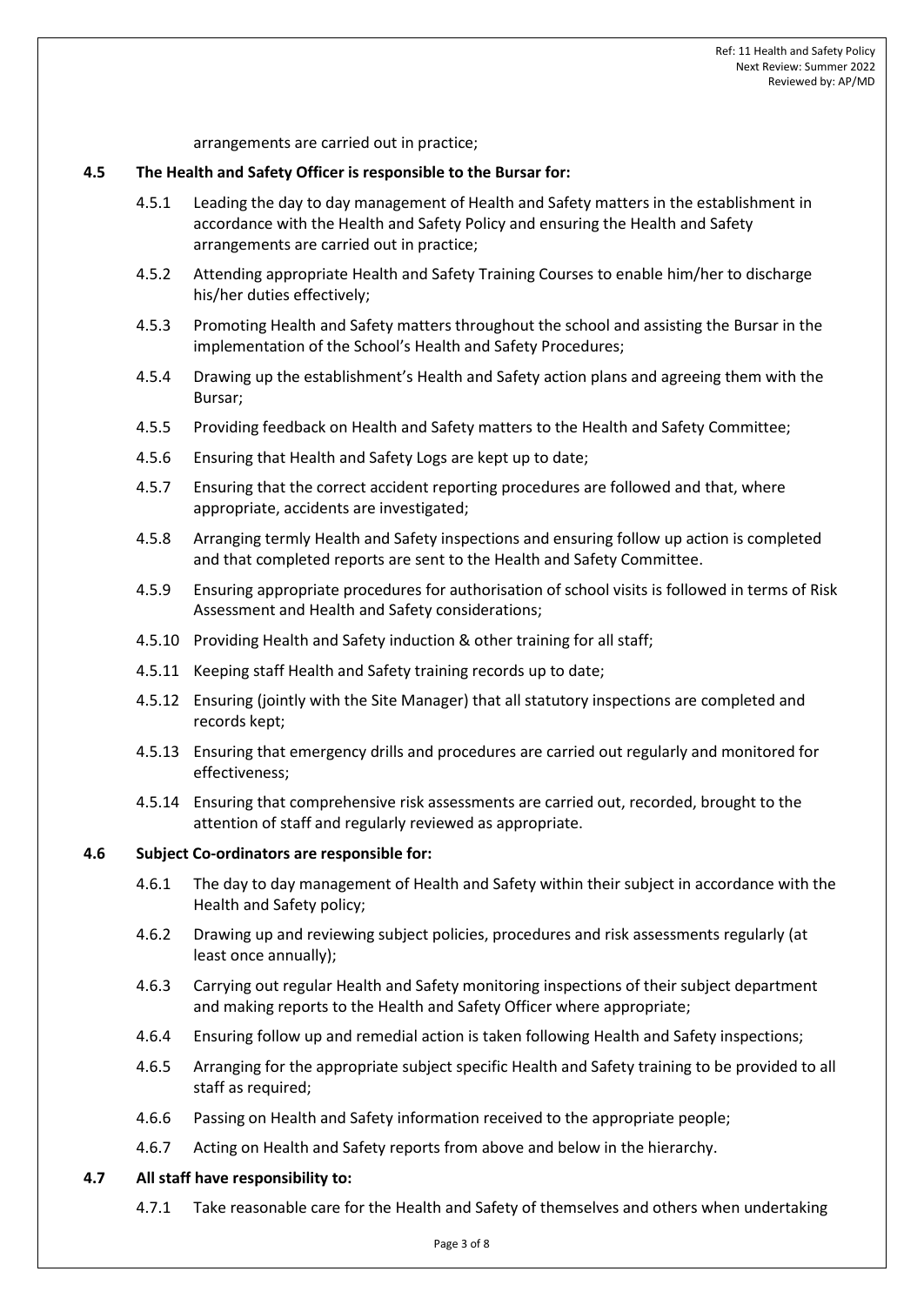arrangements are carried out in practice;

#### **4.5 The Health and Safety Officer is responsible to the Bursar for:**

- 4.5.1 Leading the day to day management of Health and Safety matters in the establishment in accordance with the Health and Safety Policy and ensuring the Health and Safety arrangements are carried out in practice;
- 4.5.2 Attending appropriate Health and Safety Training Courses to enable him/her to discharge his/her duties effectively;
- 4.5.3 Promoting Health and Safety matters throughout the school and assisting the Bursar in the implementation of the School's Health and Safety Procedures;
- 4.5.4 Drawing up the establishment's Health and Safety action plans and agreeing them with the Bursar;
- 4.5.5 Providing feedback on Health and Safety matters to the Health and Safety Committee;
- 4.5.6 Ensuring that Health and Safety Logs are kept up to date;
- 4.5.7 Ensuring that the correct accident reporting procedures are followed and that, where appropriate, accidents are investigated;
- 4.5.8 Arranging termly Health and Safety inspections and ensuring follow up action is completed and that completed reports are sent to the Health and Safety Committee.
- 4.5.9 Ensuring appropriate procedures for authorisation of school visits is followed in terms of Risk Assessment and Health and Safety considerations;
- 4.5.10 Providing Health and Safety induction & other training for all staff;
- 4.5.11 Keeping staff Health and Safety training records up to date;
- 4.5.12 Ensuring (jointly with the Site Manager) that all statutory inspections are completed and records kept;
- 4.5.13 Ensuring that emergency drills and procedures are carried out regularly and monitored for effectiveness;
- 4.5.14 Ensuring that comprehensive risk assessments are carried out, recorded, brought to the attention of staff and regularly reviewed as appropriate.

#### **4.6 Subject Co-ordinators are responsible for:**

- 4.6.1 The day to day management of Health and Safety within their subject in accordance with the Health and Safety policy;
- 4.6.2 Drawing up and reviewing subject policies, procedures and risk assessments regularly (at least once annually);
- 4.6.3 Carrying out regular Health and Safety monitoring inspections of their subject department and making reports to the Health and Safety Officer where appropriate;
- 4.6.4 Ensuring follow up and remedial action is taken following Health and Safety inspections;
- 4.6.5 Arranging for the appropriate subject specific Health and Safety training to be provided to all staff as required;
- 4.6.6 Passing on Health and Safety information received to the appropriate people;
- 4.6.7 Acting on Health and Safety reports from above and below in the hierarchy.

#### **4.7 All staff have responsibility to:**

4.7.1 Take reasonable care for the Health and Safety of themselves and others when undertaking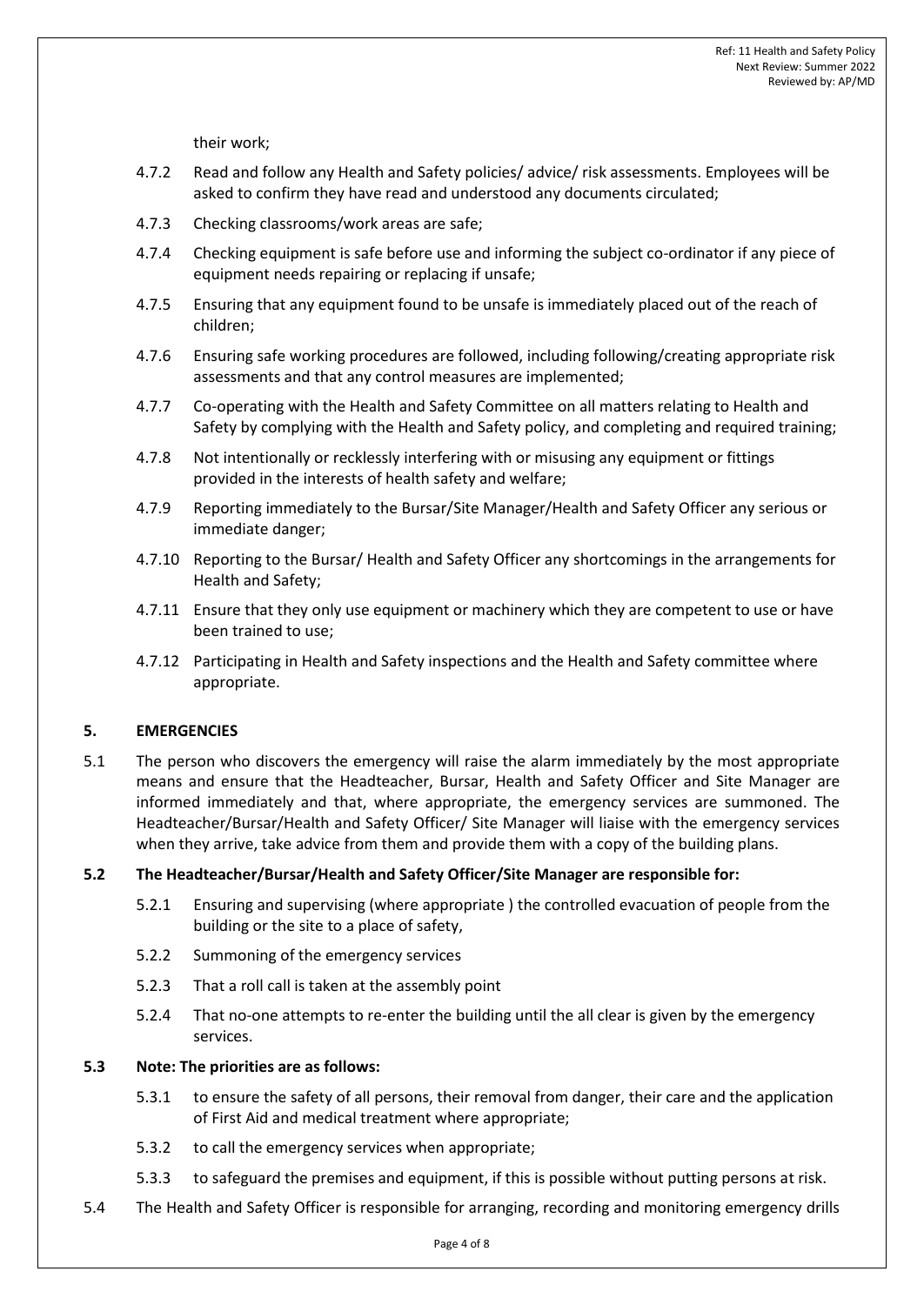their work;

- 4.7.2 Read and follow any Health and Safety policies/ advice/ risk assessments. Employees will be asked to confirm they have read and understood any documents circulated;
- 4.7.3 Checking classrooms/work areas are safe;
- 4.7.4 Checking equipment is safe before use and informing the subject co-ordinator if any piece of equipment needs repairing or replacing if unsafe;
- 4.7.5 Ensuring that any equipment found to be unsafe is immediately placed out of the reach of children;
- 4.7.6 Ensuring safe working procedures are followed, including following/creating appropriate risk assessments and that any control measures are implemented;
- 4.7.7 Co-operating with the Health and Safety Committee on all matters relating to Health and Safety by complying with the Health and Safety policy, and completing and required training;
- 4.7.8 Not intentionally or recklessly interfering with or misusing any equipment or fittings provided in the interests of health safety and welfare;
- 4.7.9 Reporting immediately to the Bursar/Site Manager/Health and Safety Officer any serious or immediate danger;
- 4.7.10 Reporting to the Bursar/ Health and Safety Officer any shortcomings in the arrangements for Health and Safety;
- 4.7.11 Ensure that they only use equipment or machinery which they are competent to use or have been trained to use;
- 4.7.12 Participating in Health and Safety inspections and the Health and Safety committee where appropriate.

## **5. EMERGENCIES**

5.1 The person who discovers the emergency will raise the alarm immediately by the most appropriate means and ensure that the Headteacher, Bursar, Health and Safety Officer and Site Manager are informed immediately and that, where appropriate, the emergency services are summoned. The Headteacher/Bursar/Health and Safety Officer/ Site Manager will liaise with the emergency services when they arrive, take advice from them and provide them with a copy of the building plans.

## **5.2 The Headteacher/Bursar/Health and Safety Officer/Site Manager are responsible for:**

- 5.2.1 Ensuring and supervising (where appropriate ) the controlled evacuation of people from the building or the site to a place of safety,
- 5.2.2 Summoning of the emergency services
- 5.2.3 That a roll call is taken at the assembly point
- 5.2.4 That no-one attempts to re-enter the building until the all clear is given by the emergency services.

## **5.3 Note: The priorities are as follows:**

- 5.3.1 to ensure the safety of all persons, their removal from danger, their care and the application of First Aid and medical treatment where appropriate;
- 5.3.2 to call the emergency services when appropriate;
- 5.3.3 to safeguard the premises and equipment, if this is possible without putting persons at risk.
- 5.4 The Health and Safety Officer is responsible for arranging, recording and monitoring emergency drills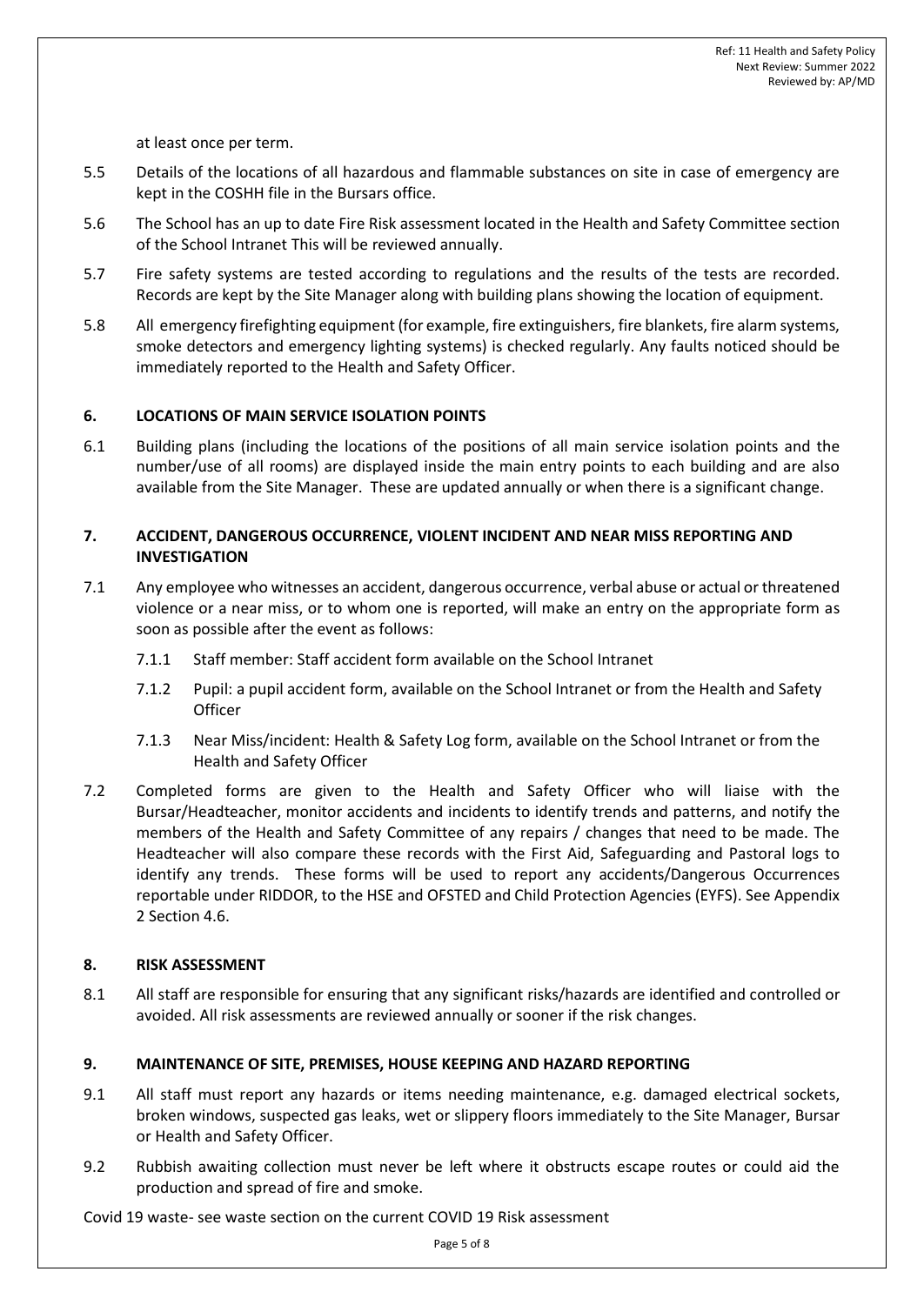at least once per term.

- 5.5 Details of the locations of all hazardous and flammable substances on site in case of emergency are kept in the COSHH file in the Bursars office.
- 5.6 The School has an up to date Fire Risk assessment located in the Health and Safety Committee section of the School Intranet This will be reviewed annually.
- 5.7 Fire safety systems are tested according to regulations and the results of the tests are recorded. Records are kept by the Site Manager along with building plans showing the location of equipment.
- 5.8 All emergency firefighting equipment (for example, fire extinguishers, fire blankets, fire alarm systems, smoke detectors and emergency lighting systems) is checked regularly. Any faults noticed should be immediately reported to the Health and Safety Officer.

## **6. LOCATIONS OF MAIN SERVICE ISOLATION POINTS**

6.1 Building plans (including the locations of the positions of all main service isolation points and the number/use of all rooms) are displayed inside the main entry points to each building and are also available from the Site Manager. These are updated annually or when there is a significant change.

# **7. ACCIDENT, DANGEROUS OCCURRENCE, VIOLENT INCIDENT AND NEAR MISS REPORTING AND INVESTIGATION**

- 7.1 Any employee who witnesses an accident, dangerous occurrence, verbal abuse or actual or threatened violence or a near miss, or to whom one is reported, will make an entry on the appropriate form as soon as possible after the event as follows:
	- 7.1.1 Staff member: Staff accident form available on the School Intranet
	- 7.1.2 Pupil: a pupil accident form, available on the School Intranet or from the Health and Safety **Officer**
	- 7.1.3 Near Miss/incident: Health & Safety Log form, available on the School Intranet or from the Health and Safety Officer
- 7.2 Completed forms are given to the Health and Safety Officer who will liaise with the Bursar/Headteacher, monitor accidents and incidents to identify trends and patterns, and notify the members of the Health and Safety Committee of any repairs / changes that need to be made. The Headteacher will also compare these records with the First Aid, Safeguarding and Pastoral logs to identify any trends. These forms will be used to report any accidents/Dangerous Occurrences reportable under RIDDOR, to the HSE and OFSTED and Child Protection Agencies (EYFS). See Appendix 2 Section 4.6.

#### **8. RISK ASSESSMENT**

8.1 All staff are responsible for ensuring that any significant risks/hazards are identified and controlled or avoided. All risk assessments are reviewed annually or sooner if the risk changes.

## **9. MAINTENANCE OF SITE, PREMISES, HOUSE KEEPING AND HAZARD REPORTING**

- 9.1 All staff must report any hazards or items needing maintenance, e.g. damaged electrical sockets, broken windows, suspected gas leaks, wet or slippery floors immediately to the Site Manager, Bursar or Health and Safety Officer.
- 9.2 Rubbish awaiting collection must never be left where it obstructs escape routes or could aid the production and spread of fire and smoke.

Covid 19 waste- see waste section on the current COVID 19 Risk assessment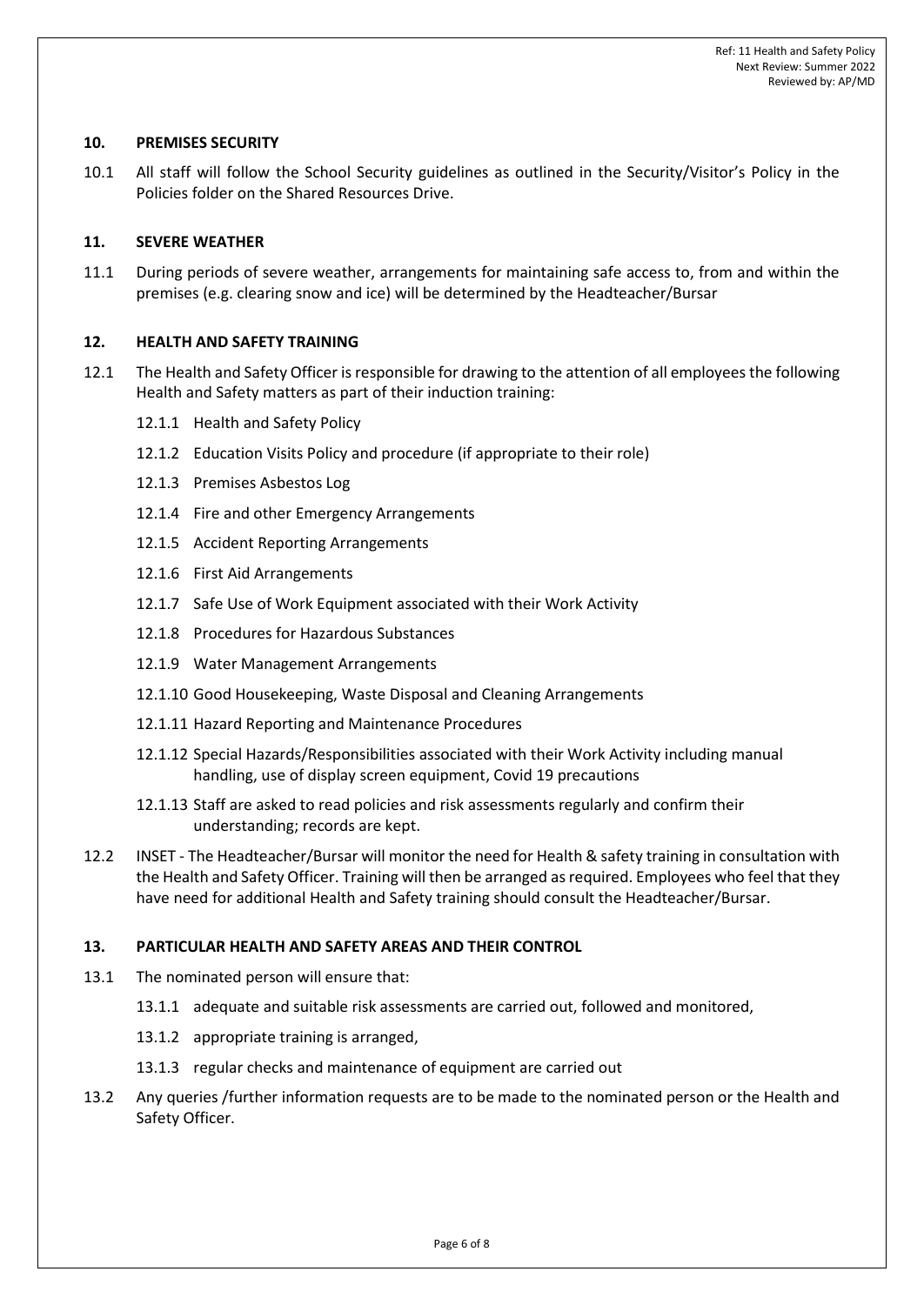## **10. PREMISES SECURITY**

10.1 All staff will follow the School Security guidelines as outlined in the Security/Visitor's Policy in the Policies folder on the Shared Resources Drive.

## **11. SEVERE WEATHER**

11.1 During periods of severe weather, arrangements for maintaining safe access to, from and within the premises (e.g. clearing snow and ice) will be determined by the Headteacher/Bursar

#### **12. HEALTH AND SAFETY TRAINING**

- 12.1 The Health and Safety Officer is responsible for drawing to the attention of all employees the following Health and Safety matters as part of their induction training:
	- 12.1.1 Health and Safety Policy
	- 12.1.2 Education Visits Policy and procedure (if appropriate to their role)
	- 12.1.3 Premises Asbestos Log
	- 12.1.4 Fire and other Emergency Arrangements
	- 12.1.5 Accident Reporting Arrangements
	- 12.1.6 First Aid Arrangements
	- 12.1.7 Safe Use of Work Equipment associated with their Work Activity
	- 12.1.8 Procedures for Hazardous Substances
	- 12.1.9 Water Management Arrangements
	- 12.1.10 Good Housekeeping, Waste Disposal and Cleaning Arrangements
	- 12.1.11 Hazard Reporting and Maintenance Procedures
	- 12.1.12 Special Hazards/Responsibilities associated with their Work Activity including manual handling, use of display screen equipment, Covid 19 precautions
	- 12.1.13 Staff are asked to read policies and risk assessments regularly and confirm their understanding; records are kept.
- 12.2 INSET The Headteacher/Bursar will monitor the need for Health & safety training in consultation with the Health and Safety Officer. Training will then be arranged as required. Employees who feel that they have need for additional Health and Safety training should consult the Headteacher/Bursar.

#### **13. PARTICULAR HEALTH AND SAFETY AREAS AND THEIR CONTROL**

- 13.1 The nominated person will ensure that:
	- 13.1.1 adequate and suitable risk assessments are carried out, followed and monitored,
	- 13.1.2 appropriate training is arranged,
	- 13.1.3 regular checks and maintenance of equipment are carried out
- 13.2 Any queries /further information requests are to be made to the nominated person or the Health and Safety Officer.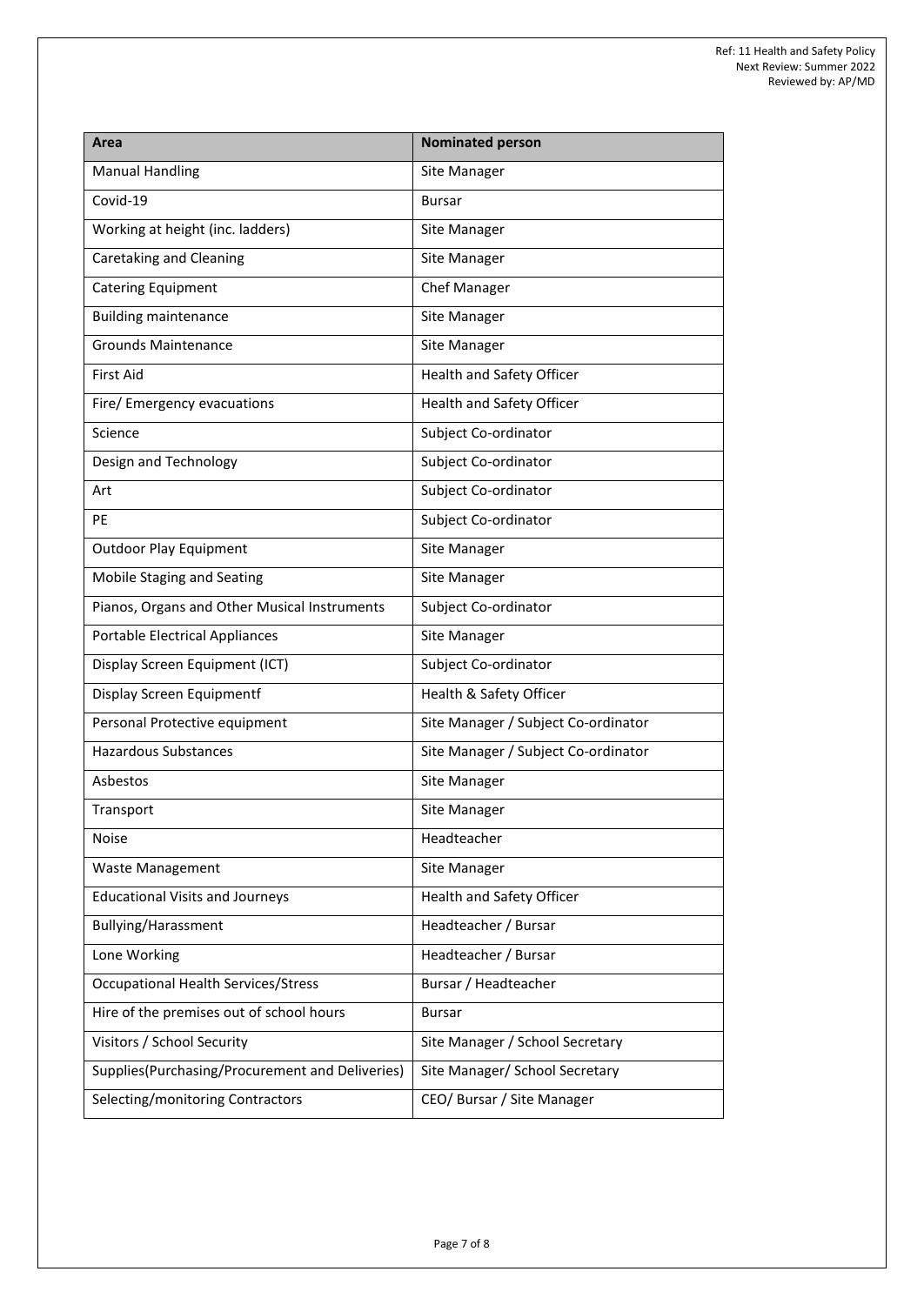| Area                                            | <b>Nominated person</b>             |
|-------------------------------------------------|-------------------------------------|
| <b>Manual Handling</b>                          | Site Manager                        |
| Covid-19                                        | <b>Bursar</b>                       |
| Working at height (inc. ladders)                | Site Manager                        |
| Caretaking and Cleaning                         | Site Manager                        |
| <b>Catering Equipment</b>                       | <b>Chef Manager</b>                 |
| <b>Building maintenance</b>                     | Site Manager                        |
| <b>Grounds Maintenance</b>                      | Site Manager                        |
| <b>First Aid</b>                                | Health and Safety Officer           |
| Fire/ Emergency evacuations                     | Health and Safety Officer           |
| Science                                         | Subject Co-ordinator                |
| Design and Technology                           | Subject Co-ordinator                |
| Art                                             | Subject Co-ordinator                |
| PE                                              | Subject Co-ordinator                |
| <b>Outdoor Play Equipment</b>                   | Site Manager                        |
| Mobile Staging and Seating                      | Site Manager                        |
| Pianos, Organs and Other Musical Instruments    | Subject Co-ordinator                |
| <b>Portable Electrical Appliances</b>           | Site Manager                        |
| Display Screen Equipment (ICT)                  | Subject Co-ordinator                |
| Display Screen Equipmentf                       | Health & Safety Officer             |
| Personal Protective equipment                   | Site Manager / Subject Co-ordinator |
| <b>Hazardous Substances</b>                     | Site Manager / Subject Co-ordinator |
| Asbestos                                        | Site Manager                        |
| Transport                                       | Site Manager                        |
| Noise                                           | Headteacher                         |
| Waste Management                                | Site Manager                        |
| <b>Educational Visits and Journeys</b>          | Health and Safety Officer           |
| Bullying/Harassment                             | Headteacher / Bursar                |
| Lone Working                                    | Headteacher / Bursar                |
| <b>Occupational Health Services/Stress</b>      | Bursar / Headteacher                |
| Hire of the premises out of school hours        | <b>Bursar</b>                       |
| Visitors / School Security                      | Site Manager / School Secretary     |
| Supplies(Purchasing/Procurement and Deliveries) | Site Manager/ School Secretary      |
| Selecting/monitoring Contractors                | CEO/ Bursar / Site Manager          |